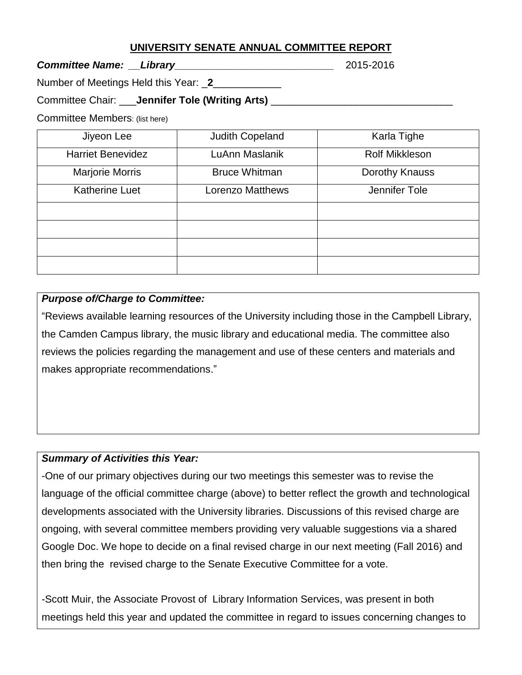## **UNIVERSITY SENATE ANNUAL COMMITTEE REPORT**

*Committee Name: \_\_Library\_\_\_\_\_\_\_\_\_\_\_\_\_\_\_\_\_\_\_\_\_\_\_\_\_\_\_\_* 2015-2016

Number of Meetings Held this Year: \_**2**\_\_\_\_\_\_\_\_\_\_\_\_

Committee Chair: \_\_\_**Jennifer Tole (Writing Arts)** \_\_\_\_\_\_\_\_\_\_\_\_\_\_\_\_\_\_\_\_\_\_\_\_\_\_\_\_\_\_\_\_

Committee Members: (list here)

| Jiyeon Lee               | <b>Judith Copeland</b>  | Karla Tighe           |
|--------------------------|-------------------------|-----------------------|
| <b>Harriet Benevidez</b> | LuAnn Maslanik          | <b>Rolf Mikkleson</b> |
| Marjorie Morris          | <b>Bruce Whitman</b>    | Dorothy Knauss        |
| <b>Katherine Luet</b>    | <b>Lorenzo Matthews</b> | Jennifer Tole         |
|                          |                         |                       |
|                          |                         |                       |
|                          |                         |                       |
|                          |                         |                       |

## *Purpose of/Charge to Committee:*

"Reviews available learning resources of the University including those in the Campbell Library, the Camden Campus library, the music library and educational media. The committee also reviews the policies regarding the management and use of these centers and materials and makes appropriate recommendations."

## *Summary of Activities this Year:*

-One of our primary objectives during our two meetings this semester was to revise the language of the official committee charge (above) to better reflect the growth and technological developments associated with the University libraries. Discussions of this revised charge are ongoing, with several committee members providing very valuable suggestions via a shared Google Doc. We hope to decide on a final revised charge in our next meeting (Fall 2016) and then bring the revised charge to the Senate Executive Committee for a vote.

-Scott Muir, the Associate Provost of Library Information Services, was present in both meetings held this year and updated the committee in regard to issues concerning changes to